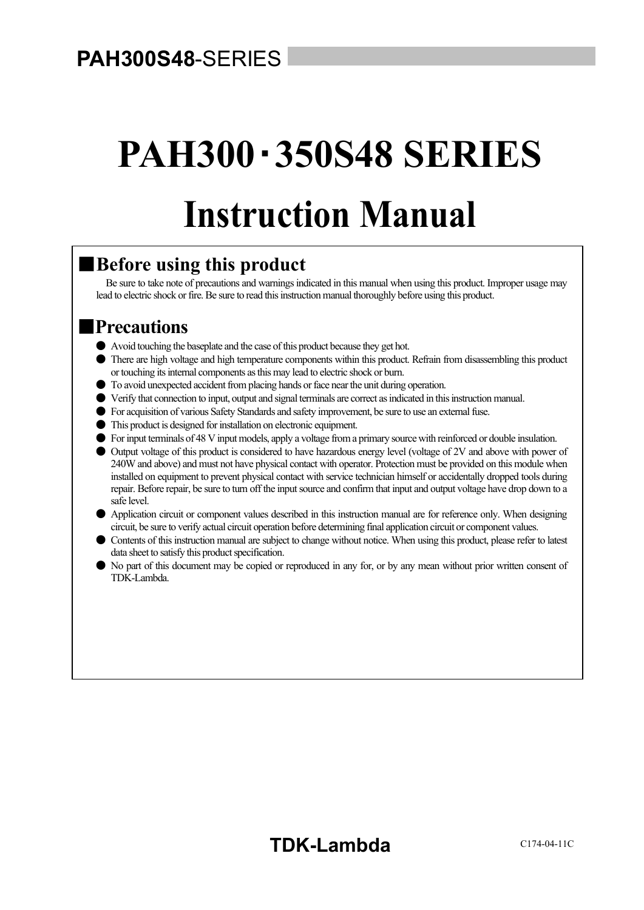# **PAH300S48**-SERIES

# **PAH300**・**350S48 SERIES Instruction Manual**  $\overline{a}$

### ■**Before using this product**

Be sure to take note of precautions and warnings indicated in this manual when using this product. Improper usage may lead to electric shock or fire. Be sure to read this instruction manual thoroughly before using this product.

### ■**Precautions**

- Avoid touching the baseplate and the case of this product because they get hot.
- There are high voltage and high temperature components within this product. Refrain from disassembling this product or touching its internal components as this may lead to electric shock or burn.
- To avoid unexpected accident from placing hands or face near the unit during operation.
- Verify that connection to input, output and signal terminals are correct as indicated in this instruction manual.
- For acquisition of various Safety Standards and safety improvement, be sure to use an external fuse.
- This product is designed for installation on electronic equipment.
- For input terminals of 48 V input models, apply a voltage from a primary source with reinforced or double insulation.
- Output voltage of this product is considered to have hazardous energy level (voltage of 2V and above with power of 240W and above) and must not have physical contact with operator. Protection must be provided on this module when installed on equipment to prevent physical contact with service technician himself or accidentally dropped tools during repair. Before repair, be sure to turn off the input source and confirm that input and output voltage have drop down to a safe level.
- Application circuit or component values described in this instruction manual are for reference only. When designing circuit, be sure to verify actual circuit operation before determining final application circuit or component values.
- Contents of this instruction manual are subject to change without notice. When using this product, please refer to latest data sheet to satisfy this product specification.
- No part of this document may be copied or reproduced in any for, or by any mean without prior written consent of TDK-Lambda.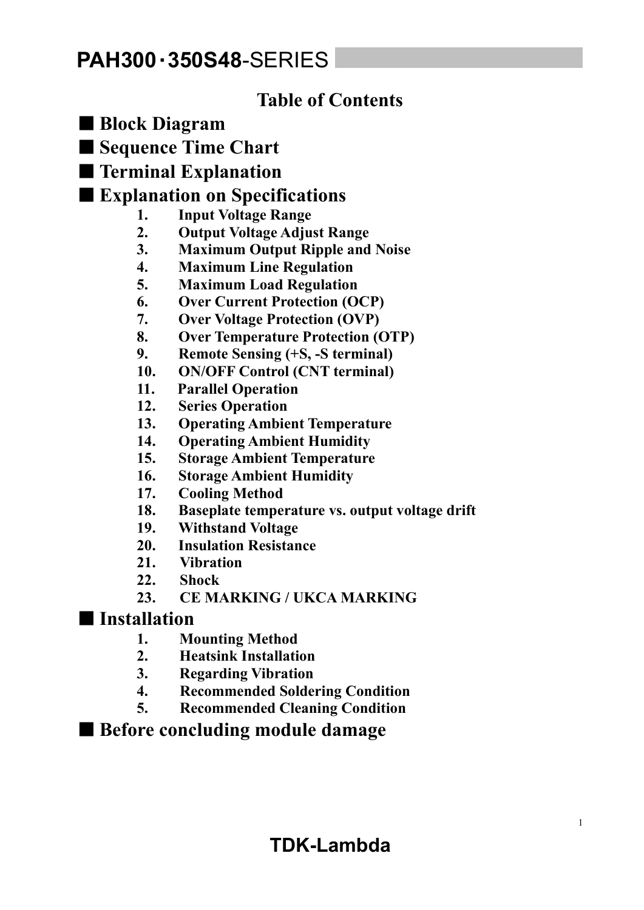### **Table of Contents**

- **Block Diagram**
- **Sequence Time Chart**
- **Terminal Explanation**

### ■ **Explanation on Specifications**

- **1. Input Voltage Range**
- **2. Output Voltage Adjust Range**
- **3. Maximum Output Ripple and Noise**
- **4. Maximum Line Regulation**
- **5. Maximum Load Regulation**
- **6. Over Current Protection (OCP)**
- **7. Over Voltage Protection (OVP)**
- **8. Over Temperature Protection (OTP)**
- **9. Remote Sensing (+S, -S terminal)**
- **10. ON/OFF Control (CNT terminal)**
- **11. Parallel Operation**
- **12. Series Operation**
- **13. Operating Ambient Temperature**
- **14. Operating Ambient Humidity**
- **15. Storage Ambient Temperature**
- **16. Storage Ambient Humidity**
- **17. Cooling Method**
- **18. Baseplate temperature vs. output voltage drift**
- **19. Withstand Voltage**
- **20. Insulation Resistance**
- **21. Vibration**
- **22. Shock**
- **23. CE MARKING / UKCA MARKING**

### ■ **Installation**

- **1. Mounting Method**
- **2. Heatsink Installation**
- **3. Regarding Vibration**
- **4. Recommended Soldering Condition**
- **5. Recommended Cleaning Condition**

### ■ Before concluding module damage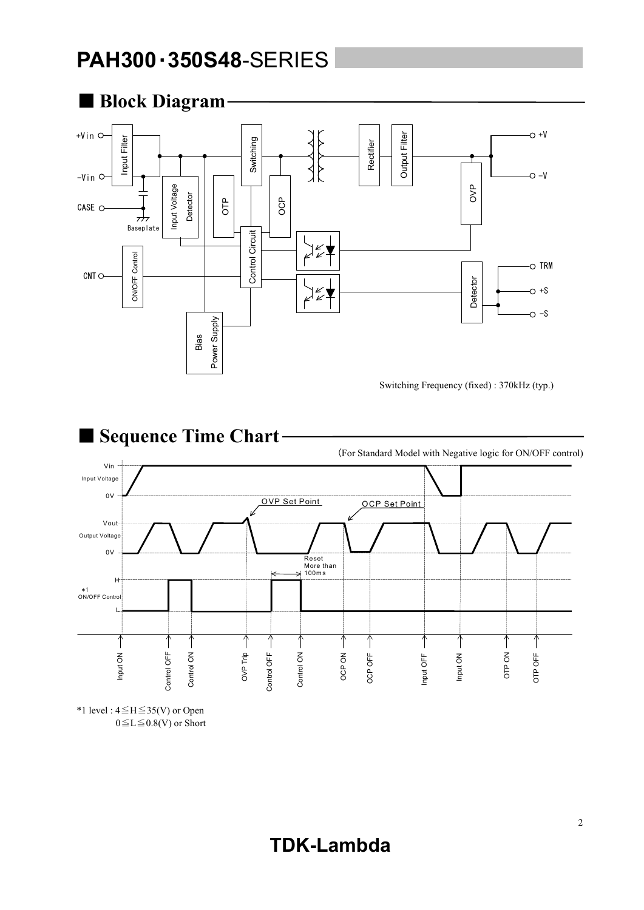

■ Sequence Time Chart (For Standard Model with Negative logic for ON/OFF control) Vin Input Voltage  $0<sup>y</sup>$ OVP Set Point OCP Set Point Vout Output Voltage 0V Reset More than 100m s H \*1 ON/OFF Control L  $\uparrow$  $\uparrow$  $\uparrow$  $\uparrow$  $\uparrow$  $\uparrow$  $\uparrow$  $\uparrow$  $\uparrow$  $\uparrow$  $\uparrow$  $\uparrow$ Input ON Control ON Control ON OCP ON Input ON OTP ON Control OFF OVP Trip Control OFF OTP OFF OCP OFF Input OFF Control OFF Control ON Control OFF Control ON OTP OFF OCP OFF

\*1 level : 4≦H≦35(V) or Open  $0 \le L \le 0.8$ (V) or Short

### **TDK-Lambda**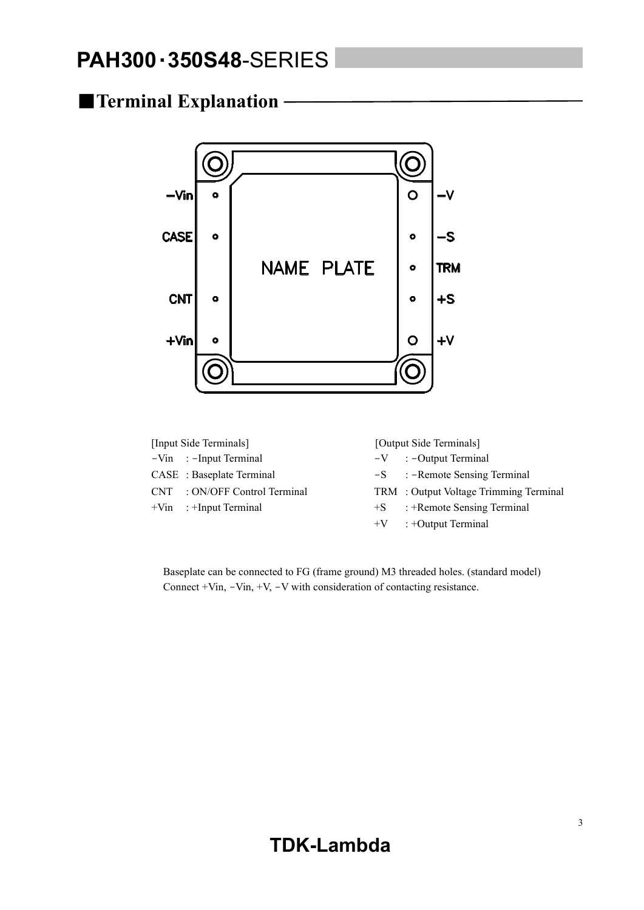### ■**Terminal Explanation**



| [Input Side Terminals] |                               | [Output Side Terminals] |                                        |  |
|------------------------|-------------------------------|-------------------------|----------------------------------------|--|
|                        | $-Vin$ : -Input Terminal      |                         | $-V$ : $-$ Output Terminal             |  |
|                        | CASE : Baseplate Terminal     |                         | $-S$ : -Remote Sensing Terminal        |  |
|                        | CNT : ON/OFF Control Terminal |                         | TRM : Output Voltage Trimming Terminal |  |
|                        | $+V$ in : $+$ Input Terminal  | $+S$                    | : +Remote Sensing Terminal             |  |
|                        |                               |                         | $+V$ : +Output Terminal                |  |

Baseplate can be connected to FG (frame ground) M3 threaded holes. (standard model) Connect +Vin, -Vin, +V, -V with consideration of contacting resistance.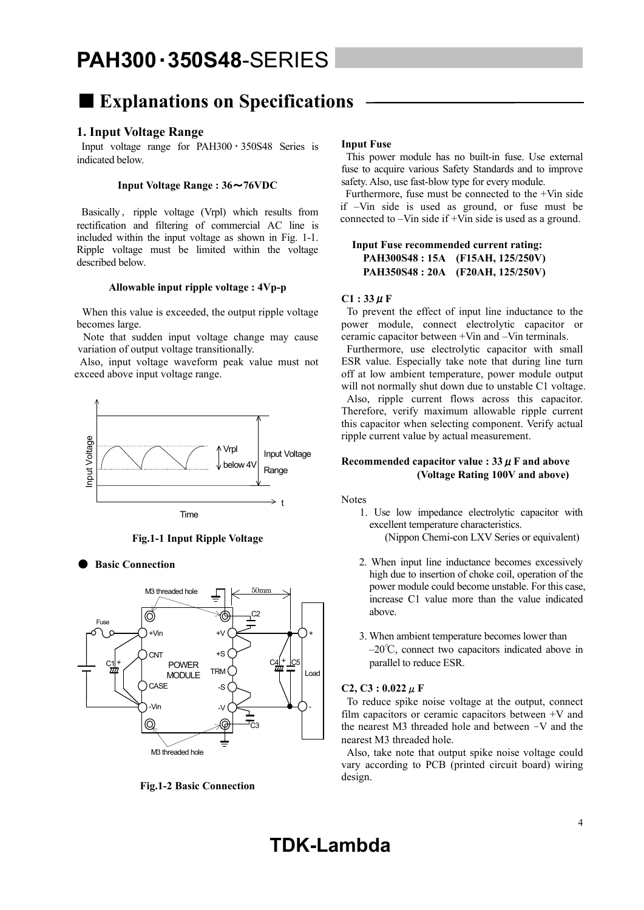### ■ **Explanations on Specifications**

### **1. Input Voltage Range**

Input voltage range for  $PAH300 \cdot 350S48$  Series is indicated below.

### **Input Voltage Range : 36**~**76VDC**

Basically, ripple voltage (Vrpl) which results from rectification and filtering of commercial AC line is included within the input voltage as shown in Fig. 1-1. Ripple voltage must be limited within the voltage described below.

### **Allowable input ripple voltage : 4Vp-p**

 When this value is exceeded, the output ripple voltage becomes large.

 Note that sudden input voltage change may cause variation of output voltage transitionally.

 Also, input voltage waveform peak value must not exceed above input voltage range.



**Fig.1-1 Input Ripple Voltage** 

**Basic Connection** 



**Fig.1-2 Basic Connection** 

#### **Input Fuse**

 This power module has no built-in fuse. Use external fuse to acquire various Safety Standards and to improve safety. Also, use fast-blow type for every module.

 Furthermore, fuse must be connected to the +Vin side if –Vin side is used as ground, or fuse must be connected to –Vin side if +Vin side is used as a ground.

### **Input Fuse recommended current rating: PAH300S48 : 15A (F15AH, 125/250V) PAH350S48 : 20A (F20AH, 125/250V)**

#### $C1:33 \mu F$

 To prevent the effect of input line inductance to the power module, connect electrolytic capacitor or ceramic capacitor between +Vin and –Vin terminals.

 Furthermore, use electrolytic capacitor with small ESR value. Especially take note that during line turn off at low ambient temperature, power module output will not normally shut down due to unstable C1 voltage. Also, ripple current flows across this capacitor. Therefore, verify maximum allowable ripple current this capacitor when selecting component. Verify actual ripple current value by actual measurement.

### **Recommended capacitor value :**  $33 \mu$  **F and above (Voltage Rating 100V and above)**

Notes

- 1. Use low impedance electrolytic capacitor with excellent temperature characteristics. (Nippon Chemi-con LXV Series or equivalent)
- 2. When input line inductance becomes excessively high due to insertion of choke coil, operation of the power module could become unstable. For this case, increase C1 value more than the value indicated above.
- 3. When ambient temperature becomes lower than –20℃, connect two capacitors indicated above in parallel to reduce ESR.

### **C2, C3 : 0.022**μ**F**

To reduce spike noise voltage at the output, connect film capacitors or ceramic capacitors between +V and the nearest M3 threaded hole and between –V and the nearest M3 threaded hole.

 Also, take note that output spike noise voltage could vary according to PCB (printed circuit board) wiring design.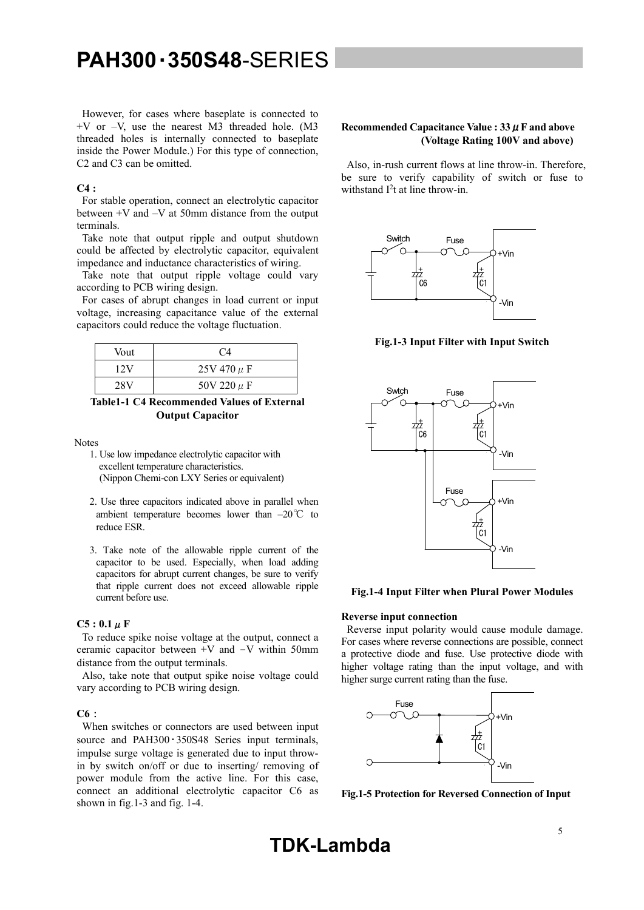However, for cases where baseplate is connected to  $+V$  or  $-V$ , use the nearest M3 threaded hole. (M3 threaded holes is internally connected to baseplate inside the Power Module.) For this type of connection, C2 and C3 can be omitted.

### **C4 :**

For stable operation, connect an electrolytic capacitor between +V and –V at 50mm distance from the output terminals.

 Take note that output ripple and output shutdown could be affected by electrolytic capacitor, equivalent impedance and inductance characteristics of wiring.

 Take note that output ripple voltage could vary according to PCB wiring design.

 For cases of abrupt changes in load current or input voltage, increasing capacitance value of the external capacitors could reduce the voltage fluctuation.

| Vout | C4              |
|------|-----------------|
| 12V  | $25V 470 \mu F$ |
| 28V  | 50V 220 $\mu$ F |

**Table1-1 C4 Recommended Values of External Output Capacitor** 

Notes

- 1. Use low impedance electrolytic capacitor with excellent temperature characteristics. (Nippon Chemi-con LXY Series or equivalent)
- 2. Use three capacitors indicated above in parallel when ambient temperature becomes lower than –20℃ to reduce ESR.
- 3. Take note of the allowable ripple current of the capacitor to be used. Especially, when load adding capacitors for abrupt current changes, be sure to verify that ripple current does not exceed allowable ripple current before use.

#### $C5:0.1 \mu F$

 To reduce spike noise voltage at the output, connect a ceramic capacitor between  $+V$  and  $-V$  within 50mm distance from the output terminals.

 Also, take note that output spike noise voltage could vary according to PCB wiring design.

#### **C6**:

When switches or connectors are used between input source and PAH300 · 350S48 Series input terminals, impulse surge voltage is generated due to input throwin by switch on/off or due to inserting/ removing of power module from the active line. For this case, connect an additional electrolytic capacitor C6 as shown in fig.1-3 and fig. 1-4.

### **Recommended Capacitance Value : 33**μ**F and above (Voltage Rating 100V and above)**

Also, in-rush current flows at line throw-in. Therefore, be sure to verify capability of switch or fuse to withstand  $I<sup>2</sup>t$  at line throw-in.



**Fig.1-3 Input Filter with Input Switch** 



**Fig.1-4 Input Filter when Plural Power Modules** 

#### **Reverse input connection**

 Reverse input polarity would cause module damage. For cases where reverse connections are possible, connect a protective diode and fuse. Use protective diode with higher voltage rating than the input voltage, and with higher surge current rating than the fuse.



**Fig.1-5 Protection for Reversed Connection of Input** 

**TDK-Lambda**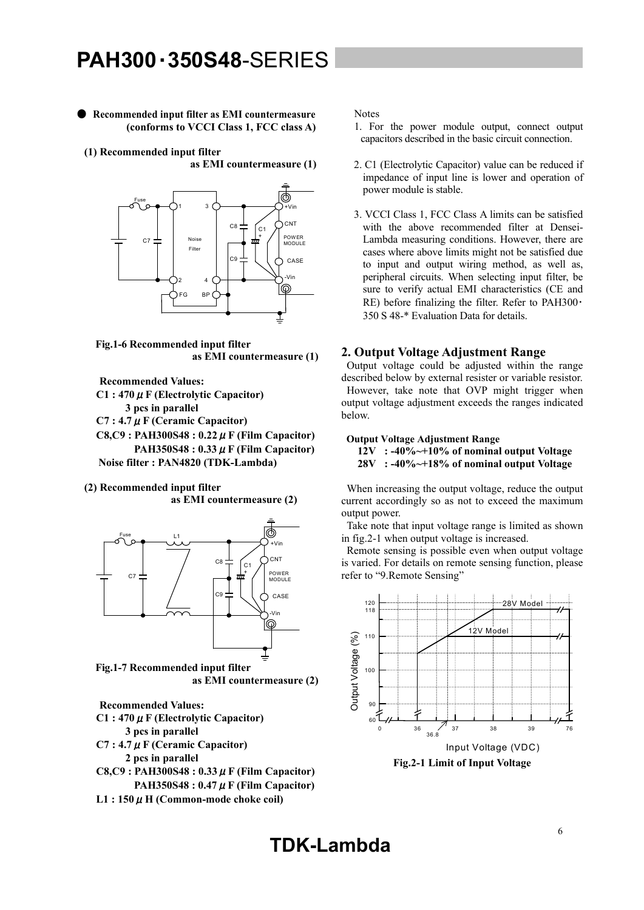● **Recommended input filter as EMI countermeasure (conforms to VCCI Class 1, FCC class A)** 

**(1) Recommended input filter** 

**as EMI countermeasure (1)** 



**Fig.1-6 Recommended input filter as EMI countermeasure (1)** 

**Recommended Values:** 

**C1 : 470**μ**F (Electrolytic Capacitor)** 

 **3 pcs in parallel** 

- **C7 : 4.7**μ**F (Ceramic Capacitor)**
- **C8,C9 : PAH300S48 : 0.22**μ**F (Film Capacitor) PAH350S48 : 0.33**μ**F (Film Capacitor) Noise filter : PAN4820 (TDK-Lambda)**
- **(2) Recommended input filter as EMI countermeasure (2)**



**Fig.1-7 Recommended input filter as EMI countermeasure (2)** 

**Recommended Values: C1 : 470**μ**F (Electrolytic Capacitor) 3 pcs in parallel** 

- **C7 : 4.7**μ**F (Ceramic Capacitor)** 
	- **2 pcs in parallel**
- **C8,C9 : PAH300S48 : 0.33**μ**F (Film Capacitor) PAH350S48 : 0.47**μ**F (Film Capacitor)**
- **L1 : 150**μ**H (Common-mode choke coil)**

**Notes** 

- 1. For the power module output, connect output capacitors described in the basic circuit connection.
- 2. C1 (Electrolytic Capacitor) value can be reduced if impedance of input line is lower and operation of power module is stable.
- 3. VCCI Class 1, FCC Class A limits can be satisfied with the above recommended filter at Densei-Lambda measuring conditions. However, there are cases where above limits might not be satisfied due to input and output wiring method, as well as, peripheral circuits. When selecting input filter, be sure to verify actual EMI characteristics (CE and RE) before finalizing the filter. Refer to PAH300 $\cdot$ 350 S 48-\* Evaluation Data for details.

### **2. Output Voltage Adjustment Range**

 Output voltage could be adjusted within the range described below by external resister or variable resistor. However, take note that OVP might trigger when output voltage adjustment exceeds the ranges indicated below.

### **Output Voltage Adjustment Range**

 **12V : -40%~+10% of nominal output Voltage** 

 **28V : -40%~+18% of nominal output Voltage** 

 When increasing the output voltage, reduce the output current accordingly so as not to exceed the maximum output power.

 Take note that input voltage range is limited as shown in fig.2-1 when output voltage is increased.

 Remote sensing is possible even when output voltage is varied. For details on remote sensing function, please refer to "9.Remote Sensing"

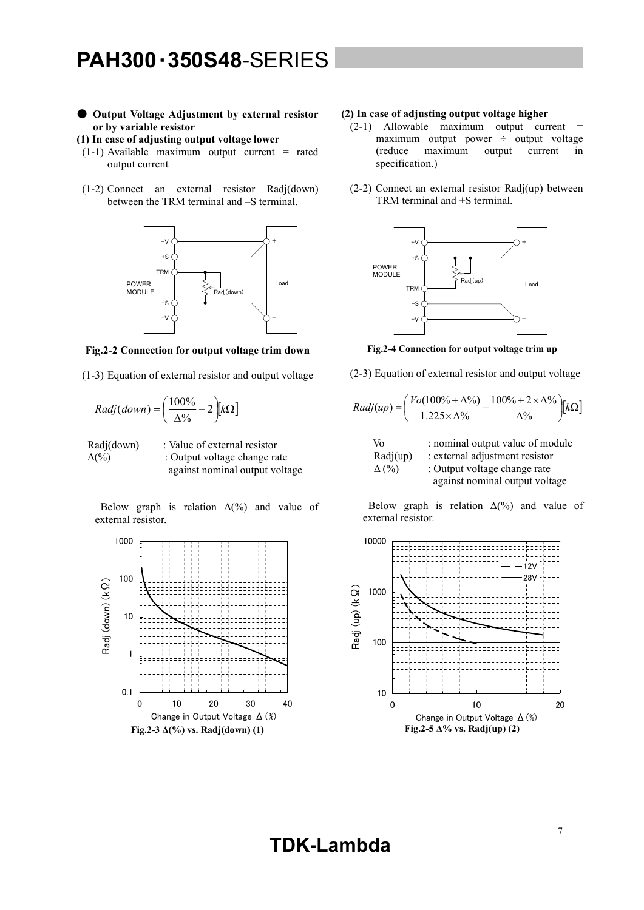### ● **Output Voltage Adjustment by external resistor or by variable resistor**

#### **(1) In case of adjusting output voltage lower**

- (1-1) Available maximum output current = rated output current
- (1-2) Connect an external resistor Radj(down) between the TRM terminal and –S terminal.



**Fig.2-2 Connection for output voltage trim down** 

(1-3) Equation of external resistor and output voltage

$$
Radj(down) = \left(\frac{100\%}{\Delta\%} - 2\right) [k\Omega]
$$

 Radj(down) : Value of external resistor  $\Delta(\%)$  : Output voltage change rate against nominal output voltage

Below graph is relation  $\Delta(\%)$  and value of external resistor.



### **(2) In case of adjusting output voltage higher**

- $(2-1)$  Allowable maximum output current = maximum output power  $\div$  output voltage (reduce maximum output current in specification.)
- (2-2) Connect an external resistor Radj(up) between TRM terminal and +S terminal.



**Fig.2-4 Connection for output voltage trim up** 

(2-3) Equation of external resistor and output voltage

$$
Radj(up) = \left(\frac{Vo(100\% + \Delta\%)}{1.225 \times \Delta\%} - \frac{100\% + 2 \times \Delta\%}{\Delta\%}\right)[k\Omega]
$$

\n Vo\n 
$$
\therefore
$$
 nominal output value of module\n  $Radj(up)$ \n $\therefore$  external adjustment resistor\n

\n\n $\Delta \left( \frac{9}{6} \right)$ \n $\therefore$  Output voltage change rate\n

\n\n against nominal output voltage\n

Below graph is relation  $\Delta(\%)$  and value of external resistor.

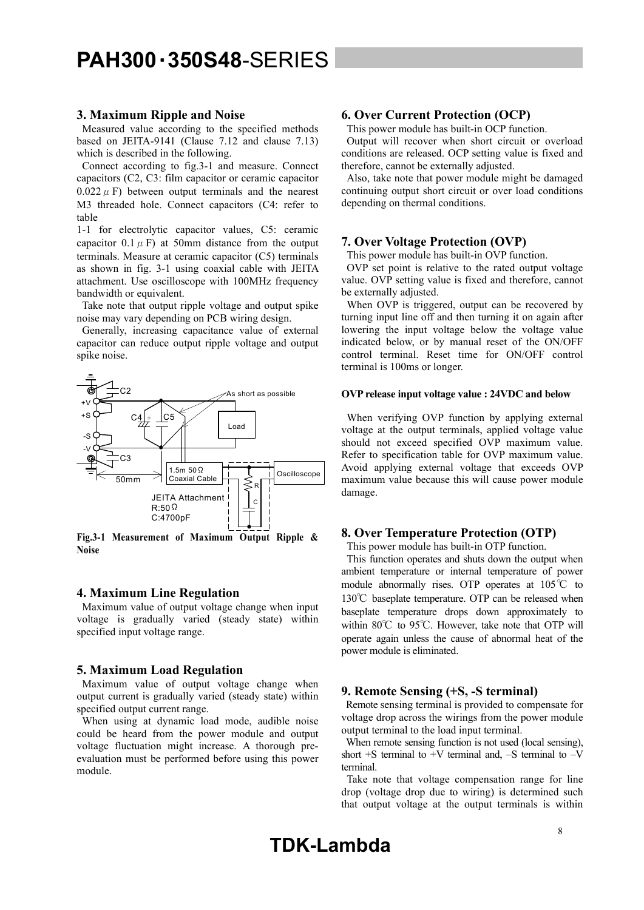### **3. Maximum Ripple and Noise**

 Measured value according to the specified methods based on JEITA-9141 (Clause 7.12 and clause 7.13) which is described in the following.

 Connect according to fig.3-1 and measure. Connect capacitors (C2, C3: film capacitor or ceramic capacitor  $0.022 \mu$  F) between output terminals and the nearest M3 threaded hole. Connect capacitors (C4: refer to table

1-1 for electrolytic capacitor values, C5: ceramic capacitor  $0.1 \mu$  F) at 50mm distance from the output terminals. Measure at ceramic capacitor (C5) terminals as shown in fig. 3-1 using coaxial cable with JEITA attachment. Use oscilloscope with 100MHz frequency bandwidth or equivalent.

 Take note that output ripple voltage and output spike noise may vary depending on PCB wiring design.

 Generally, increasing capacitance value of external capacitor can reduce output ripple voltage and output spike noise.



**Fig.3-1 Measurement of Maximum Output Ripple & Noise** 

### **4. Maximum Line Regulation**

 Maximum value of output voltage change when input voltage is gradually varied (steady state) within specified input voltage range.

### **5. Maximum Load Regulation**

 Maximum value of output voltage change when output current is gradually varied (steady state) within specified output current range.

 When using at dynamic load mode, audible noise could be heard from the power module and output voltage fluctuation might increase. A thorough preevaluation must be performed before using this power module.

### **6. Over Current Protection (OCP)**

This power module has built-in OCP function.

 Output will recover when short circuit or overload conditions are released. OCP setting value is fixed and therefore, cannot be externally adjusted.

 Also, take note that power module might be damaged continuing output short circuit or over load conditions depending on thermal conditions.

### **7. Over Voltage Protection (OVP)**

This power module has built-in OVP function.

 OVP set point is relative to the rated output voltage value. OVP setting value is fixed and therefore, cannot be externally adjusted.

 When OVP is triggered, output can be recovered by turning input line off and then turning it on again after lowering the input voltage below the voltage value indicated below, or by manual reset of the ON/OFF control terminal. Reset time for ON/OFF control terminal is 100ms or longer.

### **OVP release input voltage value : 24VDC and below**

 When verifying OVP function by applying external voltage at the output terminals, applied voltage value should not exceed specified OVP maximum value. Refer to specification table for OVP maximum value. Avoid applying external voltage that exceeds OVP maximum value because this will cause power module damage.

### **8. Over Temperature Protection (OTP)**

This power module has built-in OTP function.

 This function operates and shuts down the output when ambient temperature or internal temperature of power module abnormally rises. OTP operates at 105℃ to 130℃ baseplate temperature. OTP can be released when baseplate temperature drops down approximately to within 80℃ to 95℃. However, take note that OTP will operate again unless the cause of abnormal heat of the power module is eliminated.

### **9. Remote Sensing (+S, -S terminal)**

Remote sensing terminal is provided to compensate for voltage drop across the wirings from the power module output terminal to the load input terminal.

 When remote sensing function is not used (local sensing), short  $+S$  terminal to  $+V$  terminal and,  $-S$  terminal to  $-V$ terminal.

Take note that voltage compensation range for line drop (voltage drop due to wiring) is determined such that output voltage at the output terminals is within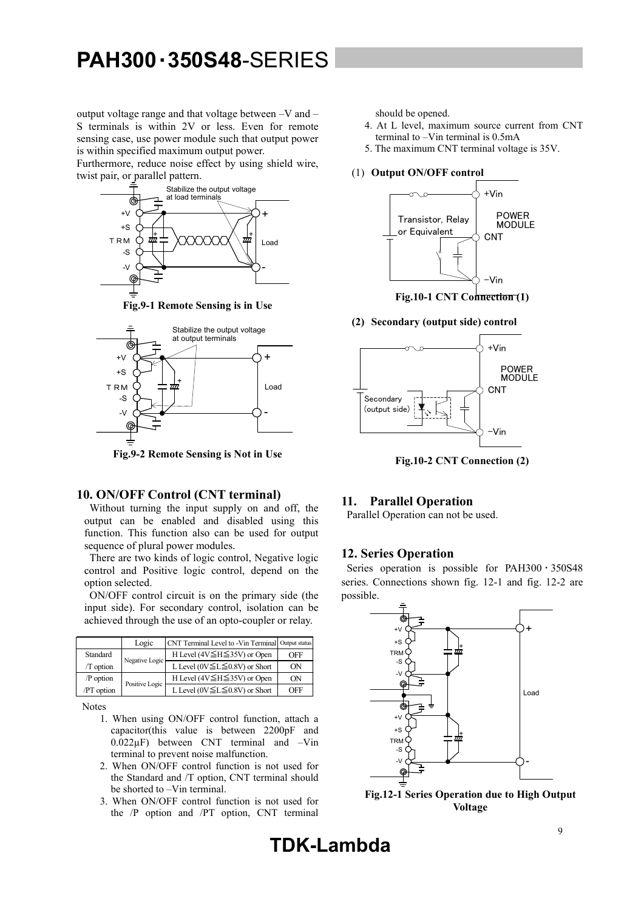output voltage range and that voltage between –V and – S terminals is within 2V or less. Even for remote sensing case, use power module such that output power is within specified maximum output power.

Furthermore, reduce noise effect by using shield wire, twist pair, or parallel pattern.



**Fig.9-1 Remote Sensing is in Use** 



**Fig.9-2 Remote Sensing is Not in Use** 

### **10. ON/OFF Control (CNT terminal)**

 Without turning the input supply on and off, the output can be enabled and disabled using this function. This function also can be used for output sequence of plural power modules.

 There are two kinds of logic control, Negative logic control and Positive logic control, depend on the option selected.

 ON/OFF control circuit is on the primary side (the input side). For secondary control, isolation can be achieved through the use of an opto-coupler or relay.

|             | Logic          | CNT Terminal Level to -Vin Terminal Output status |     |
|-------------|----------------|---------------------------------------------------|-----|
| Standard    | Negative Logic | H Level (4V $\leq$ H $\leq$ 35V) or Open          | OFF |
| $/T$ option |                | L Level ( $0V \le L \le 0.8V$ ) or Short          | ON  |
| /P option   | Positive Logic | H Level (4V $\leq$ H $\leq$ 35V) or Open          | ON  |
| /PT option  |                | L Level ( $0V \le L \le 0.8V$ ) or Short          | OFF |

Notes

- 1. When using ON/OFF control function, attach a capacitor(this value is between 2200pF and 0.022µF) between CNT terminal and –Vin terminal to prevent noise malfunction.
- 2. When ON/OFF control function is not used for the Standard and /T option, CNT terminal should be shorted to –Vin terminal.
- 3. When ON/OFF control function is not used for the /P option and /PT option, CNT terminal

should be opened.

- 4. At L level, maximum source current from CNT terminal to –Vin terminal is 0.5mA
- 5. The maximum CNT terminal voltage is 35V.
- (1) **Output ON/OFF control**



**Fig.10-1 CNT Connection (1)** 

**(2) Secondary (output side) control** 



**Fig.10-2 CNT Connection (2)** 

### **11. Parallel Operation**

Parallel Operation can not be used.

### **12. Series Operation**

Series operation is possible for PAH300 · 350S48 series. Connections shown fig. 12-1 and fig. 12-2 are possible.



**Fig.12-1 Series Operation due to High Output Voltage**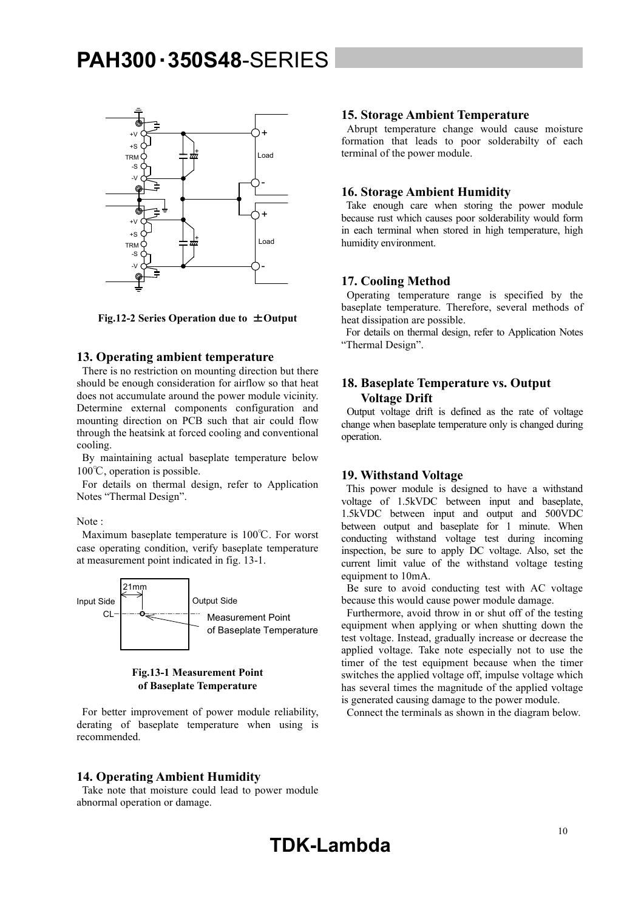

**Fig.12-2 Series Operation due to** ±**Output** 

#### **13. Operating ambient temperature**

 There is no restriction on mounting direction but there should be enough consideration for airflow so that heat does not accumulate around the power module vicinity. Determine external components configuration and mounting direction on PCB such that air could flow through the heatsink at forced cooling and conventional cooling.

 By maintaining actual baseplate temperature below 100℃, operation is possible.

 For details on thermal design, refer to Application Notes "Thermal Design".

Note :

 Maximum baseplate temperature is 100℃. For worst case operating condition, verify baseplate temperature at measurement point indicated in fig. 13-1.



### **Fig.13-1 Measurement Point of Baseplate Temperature**

 For better improvement of power module reliability, derating of baseplate temperature when using is recommended.

### **14. Operating Ambient Humidity**

 Take note that moisture could lead to power module abnormal operation or damage.

### **15. Storage Ambient Temperature**

 Abrupt temperature change would cause moisture formation that leads to poor solderabilty of each terminal of the power module.

### **16. Storage Ambient Humidity**

 Take enough care when storing the power module because rust which causes poor solderability would form in each terminal when stored in high temperature, high humidity environment.

### **17. Cooling Method**

 Operating temperature range is specified by the baseplate temperature. Therefore, several methods of heat dissipation are possible.

 For details on thermal design, refer to Application Notes "Thermal Design".

### **18. Baseplate Temperature vs. Output Voltage Drift**

 Output voltage drift is defined as the rate of voltage change when baseplate temperature only is changed during operation.

### **19. Withstand Voltage**

 This power module is designed to have a withstand voltage of 1.5kVDC between input and baseplate, 1.5kVDC between input and output and 500VDC between output and baseplate for 1 minute. When conducting withstand voltage test during incoming inspection, be sure to apply DC voltage. Also, set the current limit value of the withstand voltage testing equipment to 10mA.

 Be sure to avoid conducting test with AC voltage because this would cause power module damage.

 Furthermore, avoid throw in or shut off of the testing equipment when applying or when shutting down the test voltage. Instead, gradually increase or decrease the applied voltage. Take note especially not to use the timer of the test equipment because when the timer switches the applied voltage off, impulse voltage which has several times the magnitude of the applied voltage is generated causing damage to the power module.

Connect the terminals as shown in the diagram below.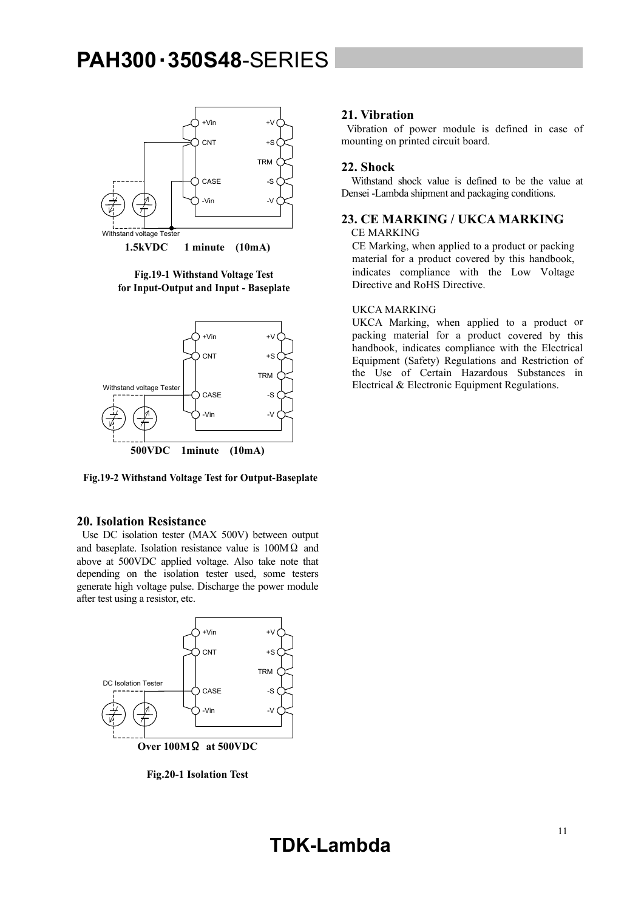

**Fig.19-1 Withstand Voltage Test for Input-Output and Input - Baseplate** 



**Fig.19-2 Withstand Voltage Test for Output-Baseplate** 

### **20. Isolation Resistance**

 Use DC isolation tester (MAX 500V) between output and baseplate. Isolation resistance value is  $100M\Omega$  and above at 500VDC applied voltage. Also take note that depending on the isolation tester used, some testers generate high voltage pulse. Discharge the power module after test using a resistor, etc.



**Fig.20-1 Isolation Test** 

### **21. Vibration**

 Vibration of power module is defined in case of mounting on printed circuit board.

### **22. Shock**

 Withstand shock value is defined to be the value at Densei -Lambda shipment and packaging conditions.

### **23. CE MARKING / UKCA MARKING**

CE MARKING

CE Marking, when applied to a product or packing material for a product covered by this handbook, indicates compliance with the Low Voltage Directive and RoHS Directive.

### UKCA MARKING

UKCA Marking, when applied to a product or packing material for a product covered by this handbook, indicates compliance with the Electrical Equipment (Safety) Regulations and Restriction of the Use of Certain Hazardous Substances in Electrical & Electronic Equipment Regulations.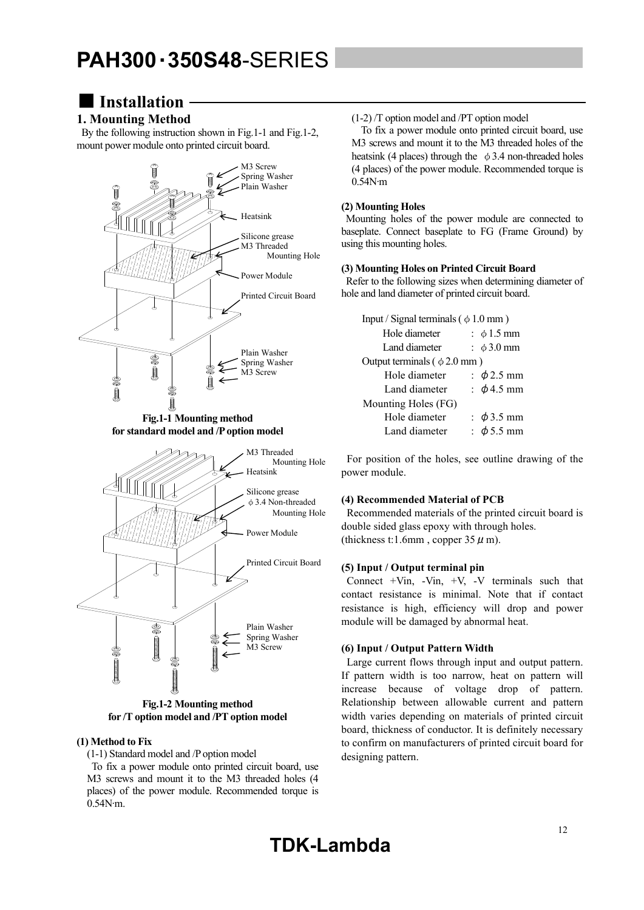### ■**Installation**

### **1. Mounting Method**

 By the following instruction shown in Fig.1-1 and Fig.1-2, mount power module onto printed circuit board.



**for /T option model and /PT option model** 

### **(1) Method to Fix**

(1-1) Standard model and /P option model

 To fix a power module onto printed circuit board, use M3 screws and mount it to the M3 threaded holes (4 places) of the power module. Recommended torque is 0.54N∙m.

(1-2) /T option model and /PT option model

 To fix a power module onto printed circuit board, use M3 screws and mount it to the M3 threaded holes of the heatsink (4 places) through the  $\phi$  3.4 non-threaded holes (4 places) of the power module. Recommended torque is 0.54N∙m

### **(2) Mounting Holes**

 Mounting holes of the power module are connected to baseplate. Connect baseplate to FG (Frame Ground) by using this mounting holes.

### **(3) Mounting Holes on Printed Circuit Board**

 Refer to the following sizes when determining diameter of hole and land diameter of printed circuit board.

| Input / Signal terminals ( $\phi$ 1.0 mm) |  |                   |  |  |  |  |
|-------------------------------------------|--|-------------------|--|--|--|--|
| Hole diameter                             |  | : $\phi$ 1.5 mm   |  |  |  |  |
| Land diameter                             |  | $\pm \phi$ 3.0 mm |  |  |  |  |
| Output terminals ( $\phi$ 2.0 mm)         |  |                   |  |  |  |  |
| Hole diameter                             |  | $\div$ \$2.5 mm   |  |  |  |  |
| Land diameter                             |  | : $\phi$ 4.5 mm   |  |  |  |  |
| Mounting Holes (FG)                       |  |                   |  |  |  |  |
| Hole diameter                             |  | : $\phi$ 3.5 mm   |  |  |  |  |
| Land diameter                             |  | $\phi$ 5.5 mm     |  |  |  |  |

 For position of the holes, see outline drawing of the power module.

### **(4) Recommended Material of PCB**

 Recommended materials of the printed circuit board is double sided glass epoxy with through holes. (thickness t:1.6mm, copper  $35 \mu$  m).

### **(5) Input / Output terminal pin**

Connect  $+V$ in,  $-V$ in,  $+V$ ,  $-V$  terminals such that contact resistance is minimal. Note that if contact resistance is high, efficiency will drop and power module will be damaged by abnormal heat.

### **(6) Input / Output Pattern Width**

 Large current flows through input and output pattern. If pattern width is too narrow, heat on pattern will increase because of voltage drop of pattern. Relationship between allowable current and pattern width varies depending on materials of printed circuit board, thickness of conductor. It is definitely necessary to confirm on manufacturers of printed circuit board for designing pattern.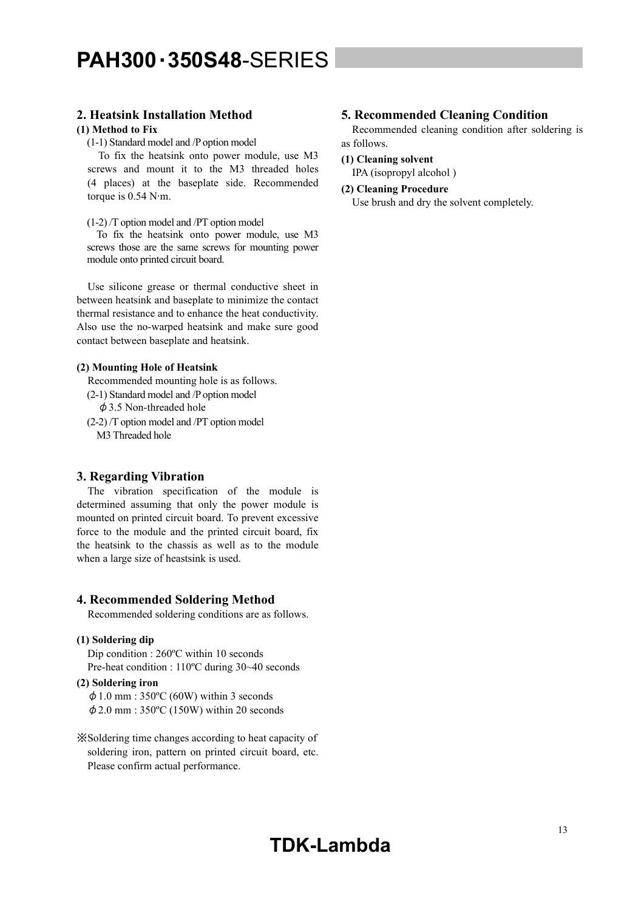### **2. Heatsink Installation Method**

### **(1) Method to Fix**

(1-1) Standard model and /P option model

 To fix the heatsink onto power module, use M3 screws and mount it to the M3 threaded holes (4 places) at the baseplate side. Recommended torque is 0.54 N∙m.

(1-2) /T option model and /PT option model

 To fix the heatsink onto power module, use M3 screws those are the same screws for mounting power module onto printed circuit board.

 Use silicone grease or thermal conductive sheet in between heatsink and baseplate to minimize the contact thermal resistance and to enhance the heat conductivity. Also use the no-warped heatsink and make sure good contact between baseplate and heatsink.

#### **(2) Mounting Hole of Heatsink**

Recommended mounting hole is as follows.

- (2-1) Standard model and /P option model
	- $\phi$  3.5 Non-threaded hole
- (2-2) /T option model and /PT option model M3 Threaded hole

### **3. Regarding Vibration**

 The vibration specification of the module is determined assuming that only the power module is mounted on printed circuit board. To prevent excessive force to the module and the printed circuit board, fix the heatsink to the chassis as well as to the module when a large size of heastsink is used.

### **4. Recommended Soldering Method**

Recommended soldering conditions are as follows.

### **(1) Soldering dip**

Dip condition : 260ºC within 10 seconds Pre-heat condition : 110ºC during 30~40 seconds

#### **(2) Soldering iron**

 $\phi$  1.0 mm : 350°C (60W) within 3 seconds  $\phi$  2.0 mm : 350°C (150W) within 20 seconds

※Soldering time changes according to heat capacity of soldering iron, pattern on printed circuit board, etc. Please confirm actual performance.

### **5. Recommended Cleaning Condition**

 Recommended cleaning condition after soldering is as follows.

**(1) Cleaning solvent** 

IPA (isopropyl alcohol )

#### **(2) Cleaning Procedure**

Use brush and dry the solvent completely.